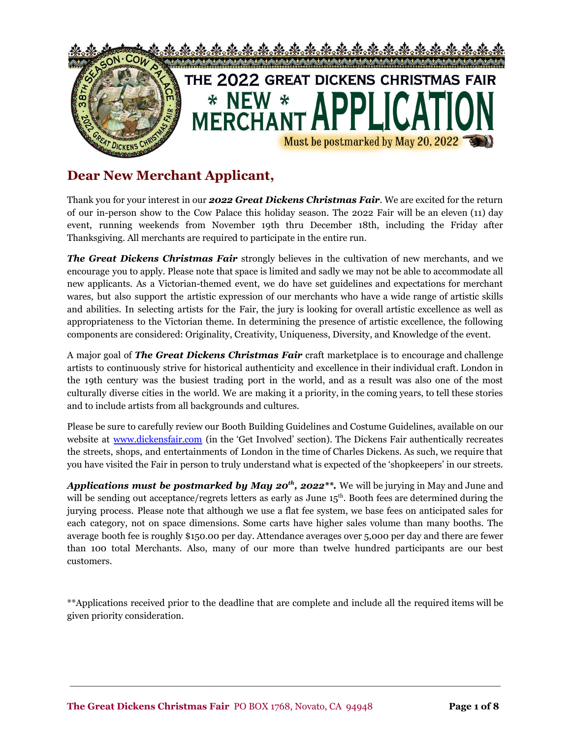

## **Dear New Merchant Applicant,**

Thank you for your interest in our *2022 Great Dickens Christmas Fair*. We are excited for the return of our in-person show to the Cow Palace this holiday season. The 2022 Fair will be an eleven (11) day event, running weekends from November 19th thru December 18th, including the Friday after Thanksgiving. All merchants are required to participate in the entire run.

*The Great Dickens Christmas Fair* strongly believes in the cultivation of new merchants, and we encourage you to apply. Please note that space is limited and sadly we may not be able to accommodate all new applicants. As a Victorian-themed event, we do have set guidelines and expectations for merchant wares, but also support the artistic expression of our merchants who have a wide range of artistic skills and abilities. In selecting artists for the Fair, the jury is looking for overall artistic excellence as well as appropriateness to the Victorian theme. In determining the presence of artistic excellence, the following components are considered: Originality, Creativity, Uniqueness, Diversity, and Knowledge of the event.

A major goal of *The Great Dickens Christmas Fair* craft marketplace is to encourage and challenge artists to continuously strive for historical authenticity and excellence in their individual craft. London in the 19th century was the busiest trading port in the world, and as a result was also one of the most culturally diverse cities in the world. We are making it a priority, in the coming years, to tell these stories and to include artists from all backgrounds and cultures.

Please be sure to carefully review our Booth Building Guidelines and Costume Guidelines, available on our website at [www.dickensfair.com](http://www.dickensfair.com) (in the 'Get Involved' section). The Dickens Fair authentically recreates the streets, shops, and entertainments of London in the time of Charles Dickens. As such, we require that you have visited the Fair in person to truly understand what is expected of the 'shopkeepers' in our streets.

*Applications must be postmarked by May 20 th , 2022\*\*.* We will be jurying in May and June and will be sending out acceptance/regrets letters as early as June 15<sup>th</sup>. Booth fees are determined during the jurying process. Please note that although we use a flat fee system, we base fees on anticipated sales for each category, not on space dimensions. Some carts have higher sales volume than many booths. The average booth fee is roughly \$150.00 per day. Attendance averages over 5,000 per day and there are fewer than 100 total Merchants. Also, many of our more than twelve hundred participants are our best customers.

\*\*Applications received prior to the deadline that are complete and include all the required items will be given priority consideration.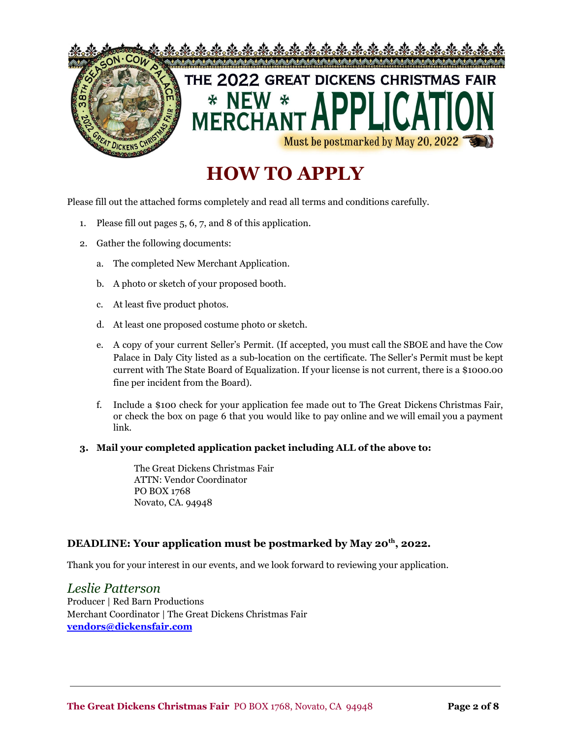

# **HOW TO APPLY**

Please fill out the attached forms completely and read all terms and conditions carefully.

- 1. Please fill out pages 5, 6, 7, and 8 of this application.
- 2. Gather the following documents:
	- a. The completed New Merchant Application.
	- b. A photo or sketch of your proposed booth.
	- c. At least five product photos.
	- d. At least one proposed costume photo or sketch.
	- e. A copy of your current Seller's Permit. (If accepted, you must call the SBOE and have the Cow Palace in Daly City listed as a sub-location on the certificate. The Seller's Permit must be kept current with The State Board of Equalization. If your license is not current, there is a \$1000.00 fine per incident from the Board).
	- f. Include a \$100 check for your application fee made out to The Great Dickens Christmas Fair, or check the box on page 6 that you would like to pay online and we will email you a payment link.

#### **3. Mail your completed application packet including ALL of the above to:**

The Great Dickens Christmas Fair ATTN: Vendor Coordinator PO BOX 1768 Novato, CA. 94948

### **DEADLINE: Your application must be postmarked by May 20 th , 2022.**

Thank you for your interest in our events, and we look forward to reviewing your application.

*Leslie Patterson* Producer | Red Barn Productions Merchant Coordinator | The Great Dickens Christmas Fair **[vendors@dickensfair.com](mailto:Vendors.dickensfair@gmail.com)**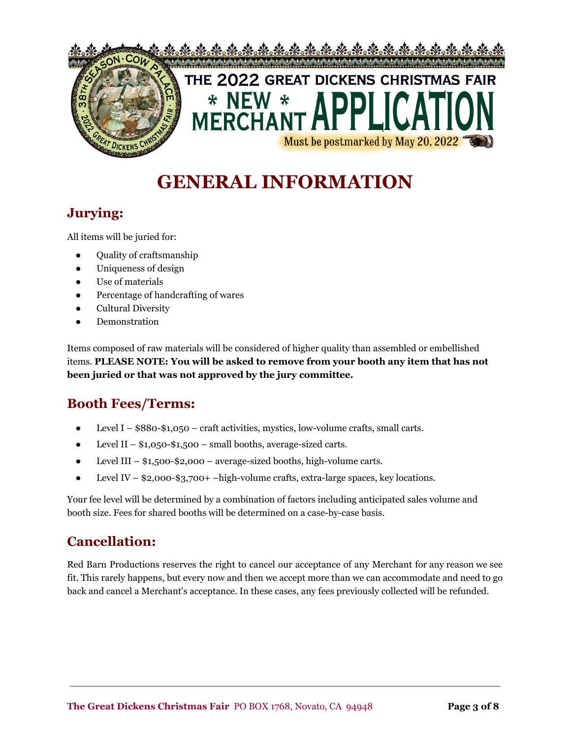

# **GENERAL INFORMATION**

### **Jurying:**

All items will be juried for:

- Quality of craftsmanship
- Uniqueness of design
- Use of materials
- Percentage of handcrafting of wares
- Cultural Diversity
- Demonstration

Items composed of raw materials will be considered of higher quality than assembled or embellished items. **PLEASE NOTE: You will be asked to remove from your booth any item that has not been juried or that was not approved by the jury committee.**

## **Booth Fees/Terms:**

- Level I  $$880-$1,050 craft activities, mystics, low-volume crafts, small carts.$
- Level II  $$1,050-$1,500$  small booths, average-sized carts.
- $\bullet$  Level III \$1,500-\$2,000 average-sized booths, high-volume carts.
- Level IV  $$2,000-$3,700+ -high-volume crafts, extra-large spaces, key locations.$

Your fee level will be determined by a combination of factors including anticipated sales volume and booth size. Fees for shared booths will be determined on a case-by-case basis.

### **Cancellation:**

Red Barn Productions reserves the right to cancel our acceptance of any Merchant for any reason we see fit. This rarely happens, but every now and then we accept more than we can accommodate and need to go back and cancel a Merchant's acceptance. In these cases, any fees previously collected will be refunded.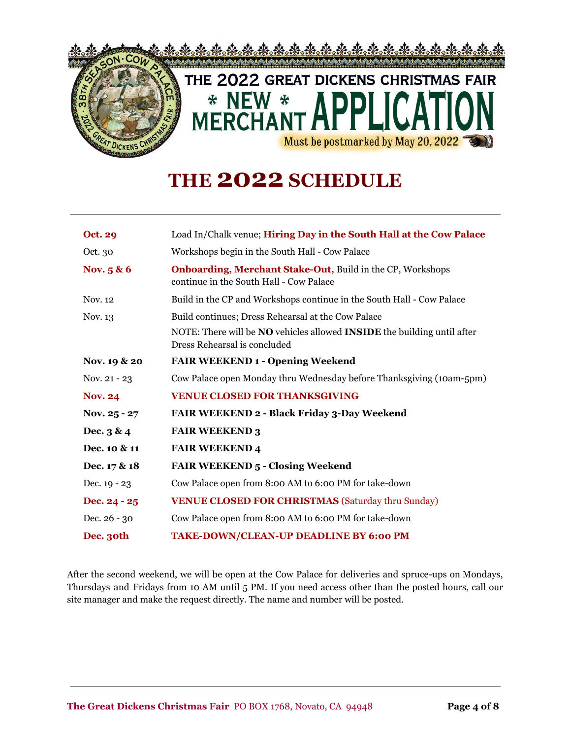

## **THE 2022 SCHEDULE**

| <b>Oct. 29</b> | Load In/Chalk venue; Hiring Day in the South Hall at the Cow Palace                                                   |  |
|----------------|-----------------------------------------------------------------------------------------------------------------------|--|
| Oct. 30        | Workshops begin in the South Hall - Cow Palace                                                                        |  |
| Nov. 5 & 6     | <b>Onboarding, Merchant Stake-Out, Build in the CP, Workshops</b><br>continue in the South Hall - Cow Palace          |  |
| Nov. 12        | Build in the CP and Workshops continue in the South Hall - Cow Palace                                                 |  |
| Nov. 13        | Build continues; Dress Rehearsal at the Cow Palace                                                                    |  |
|                | NOTE: There will be <b>NO</b> vehicles allowed <b>INSIDE</b> the building until after<br>Dress Rehearsal is concluded |  |
| Nov. 19 & 20   | <b>FAIR WEEKEND 1 - Opening Weekend</b>                                                                               |  |
| Nov. 21 - 23   | Cow Palace open Monday thru Wednesday before Thanksgiving (10am-5pm)                                                  |  |
| <b>Nov. 24</b> | <b>VENUE CLOSED FOR THANKSGIVING</b>                                                                                  |  |
| Nov. 25 - 27   | FAIR WEEKEND 2 - Black Friday 3-Day Weekend                                                                           |  |
| Dec. $3 & 4$   | <b>FAIR WEEKEND 3</b>                                                                                                 |  |
| Dec. 10 & 11   | <b>FAIR WEEKEND 4</b>                                                                                                 |  |
| Dec. 17 & 18   | <b>FAIR WEEKEND 5 - Closing Weekend</b>                                                                               |  |
| Dec. $19 - 23$ | Cow Palace open from 8:00 AM to 6:00 PM for take-down                                                                 |  |
| Dec. 24 - 25   | <b>VENUE CLOSED FOR CHRISTMAS (Saturday thru Sunday)</b>                                                              |  |
| Dec. 26 - 30   | Cow Palace open from 8:00 AM to 6:00 PM for take-down                                                                 |  |
| Dec. 30th      | TAKE-DOWN/CLEAN-UP DEADLINE BY 6:00 PM                                                                                |  |

After the second weekend, we will be open at the Cow Palace for deliveries and spruce-ups on Mondays, Thursdays and Fridays from 10 AM until 5 PM. If you need access other than the posted hours, call our site manager and make the request directly. The name and number will be posted.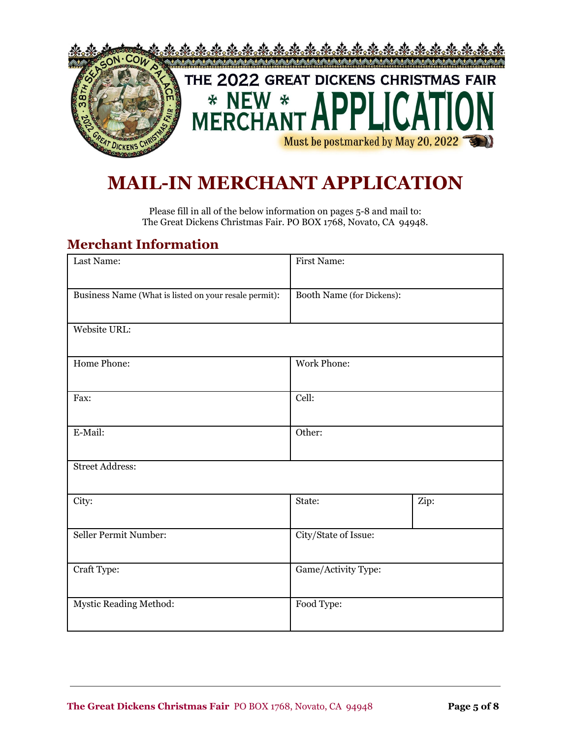

## **MAIL-IN MERCHANT APPLICATION**

Please fill in all of the below information on pages 5-8 and mail to: The Great Dickens Christmas Fair. PO BOX 1768, Novato, CA 94948.

### **Merchant Information**

| Last Name:                                            | <b>First Name:</b>        |      |
|-------------------------------------------------------|---------------------------|------|
| Business Name (What is listed on your resale permit): | Booth Name (for Dickens): |      |
| Website URL:                                          |                           |      |
| Home Phone:                                           | <b>Work Phone:</b>        |      |
| Fax:                                                  | Cell:                     |      |
| E-Mail:                                               | Other:                    |      |
| <b>Street Address:</b>                                |                           |      |
| City:                                                 | State:                    | Zip: |
| Seller Permit Number:                                 | City/State of Issue:      |      |
| Craft Type:                                           | Game/Activity Type:       |      |
| Mystic Reading Method:                                | Food Type:                |      |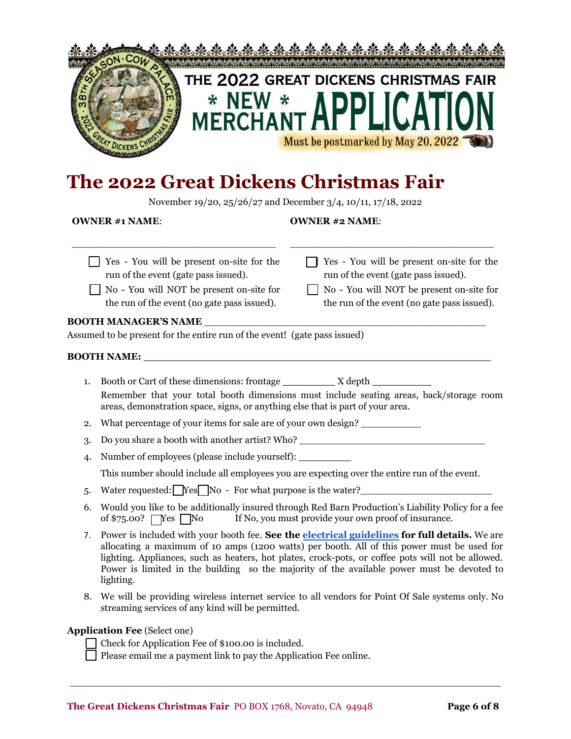

## **The 2022 Great Dickens Christmas Fair**

November 19/20, 25/26/27 and December 3/4, 10/11, 17/18, 2022

#### **OWNER #1 NAME**:

\_\_\_\_\_\_\_\_\_\_\_\_\_\_\_\_\_\_\_\_\_\_\_\_\_\_\_\_\_\_\_\_\_\_

#### **OWNER #2 NAME**:

\_\_\_\_\_\_\_\_\_\_\_\_\_\_\_\_\_\_\_\_\_\_\_\_\_\_\_\_\_\_\_\_\_\_

|                                                                           | Yes - You will be present on-site for the<br>Yes - You will be present on-site for the<br>run of the event (gate pass issued).<br>run of the event (gate pass issued).<br>No - You will NOT be present on-site for<br>No - You will NOT be present on-site for<br>the run of the event (no gate pass issued).<br>the run of the event (no gate pass issued).                                                        |  |  |  |  |
|---------------------------------------------------------------------------|---------------------------------------------------------------------------------------------------------------------------------------------------------------------------------------------------------------------------------------------------------------------------------------------------------------------------------------------------------------------------------------------------------------------|--|--|--|--|
|                                                                           |                                                                                                                                                                                                                                                                                                                                                                                                                     |  |  |  |  |
| Assumed to be present for the entire run of the event! (gate pass issued) |                                                                                                                                                                                                                                                                                                                                                                                                                     |  |  |  |  |
|                                                                           |                                                                                                                                                                                                                                                                                                                                                                                                                     |  |  |  |  |
| 1.                                                                        | Booth or Cart of these dimensions: frontage __________ X depth ___________<br>Remember that your total booth dimensions must include seating areas, back/storage room<br>areas, demonstration space, signs, or anything else that is part of your area.                                                                                                                                                             |  |  |  |  |
| 2.                                                                        | What percentage of your items for sale are of your own design?                                                                                                                                                                                                                                                                                                                                                      |  |  |  |  |
| 3.                                                                        | Do you share a booth with another artist? Who? __________________________________                                                                                                                                                                                                                                                                                                                                   |  |  |  |  |
| $\overline{4}$                                                            | Number of employees (please include yourself): ____________                                                                                                                                                                                                                                                                                                                                                         |  |  |  |  |
|                                                                           | This number should include all employees you are expecting over the entire run of the event.                                                                                                                                                                                                                                                                                                                        |  |  |  |  |
| 5.                                                                        | Water requested: $\log N$ o - For what purpose is the water? ________________________                                                                                                                                                                                                                                                                                                                               |  |  |  |  |
| 6.                                                                        | Would you like to be additionally insured through Red Barn Production's Liability Policy for a fee<br>of $$75.00?$ $Yes$ No<br>If No, you must provide your own proof of insurance.                                                                                                                                                                                                                                 |  |  |  |  |
| 7.                                                                        | Power is included with your booth fee. See the <b>electrical guidelines</b> for full details. We are<br>allocating a maximum of 10 amps (1200 watts) per booth. All of this power must be used for<br>lighting. Appliances, such as heaters, hot plates, crock-pots, or coffee pots will not be allowed.<br>Power is limited in the building so the majority of the available power must be devoted to<br>lighting. |  |  |  |  |

8. We will be providing wireless internet service to all vendors for Point Of Sale systems only. No streaming services of any kind will be permitted.

#### **Application Fee** (Select one)

Check for Application Fee of \$100.00 is included.

Please email me a payment link to pay the Application Fee online.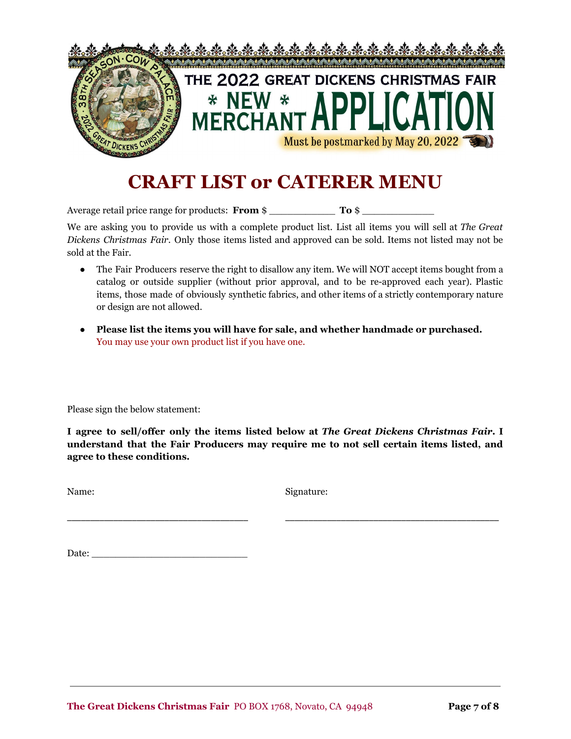

## **CRAFT LIST or CATERER MENU**

Average retail price range for products: **From** \$

We are asking you to provide us with a complete product list. List all items you will sell at *The Great Dickens Christmas Fair*. Only those items listed and approved can be sold. Items not listed may not be sold at the Fair.

- The Fair Producers reserve the right to disallow any item. We will NOT accept items bought from a catalog or outside supplier (without prior approval, and to be re-approved each year). Plastic items, those made of obviously synthetic fabrics, and other items of a strictly contemporary nature or design are not allowed.
- **● Please list the items you will have for sale, and whether handmade or purchased.** You may use your own product list if you have one.

Please sign the below statement:

**I agree to sell/offer only the items listed below at** *The Great Dickens Christmas Fair***. I understand that the Fair Producers may require me to not sell certain items listed, and agree to these conditions.**

\_\_\_\_\_\_\_\_\_\_\_\_\_\_\_\_\_\_\_\_\_\_\_\_\_\_\_\_\_\_\_\_\_\_\_\_\_\_\_ \_\_\_\_\_\_\_\_\_\_\_\_\_\_\_\_\_\_\_\_\_\_\_\_\_\_\_\_\_\_\_\_\_\_\_\_\_\_\_\_\_\_\_\_\_\_

Name: Signature:

Date:  $\_\_$